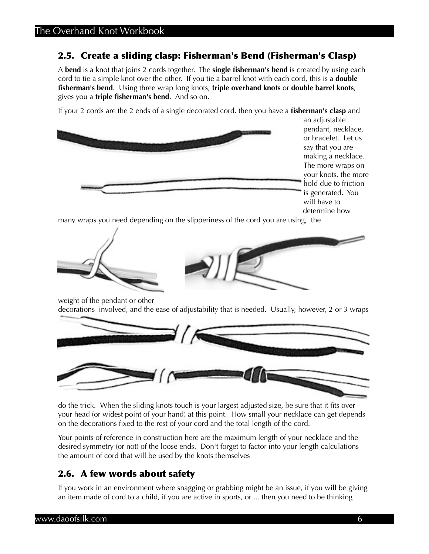## 2.5. Create a sliding clasp: Fisherman's Bend (Fisherman's Clasp)

A **bend** is a knot that joins 2 cords together. The **single fisherman's bend** is created by using each cord to tie a simple knot over the other. If you tie a barrel knot with each cord, this is a **double fisherman's bend**. Using three wrap long knots, **triple overhand knots** or **double barrel knots**, gives you a **triple fisherman's bend**. And so on.

If your 2 cords are the 2 ends of a single decorated cord, then you have a **fisherman's clasp** and



an adjustable pendant, necklace, or bracelet. Let us say that you are making a necklace. The more wraps on your knots, the more hold due to friction is generated. You will have to determine how

many wraps you need depending on the slipperiness of the cord you are using, the





weight of the pendant or other decorations involved, and the ease of adjustability that is needed. Usually, however, 2 or 3 wraps



do the trick. When the sliding knots touch is your largest adjusted size, be sure that it fits over your head (or widest point of your hand) at this point. How small your necklace can get depends on the decorations fixed to the rest of your cord and the total length of the cord.

Your points of reference in construction here are the maximum length of your necklace and the desired symmetry (or not) of the loose ends. Don't forget to factor into your length calculations the amount of cord that will be used by the knots themselves

## 2.6. A few words about safety

If you work in an environment where snagging or grabbing might be an issue, if you will be giving an item made of cord to a child, if you are active in sports, or ... then you need to be thinking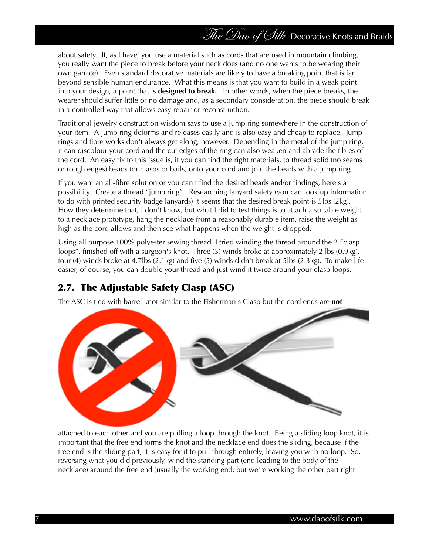about safety. If, as I have, you use a material such as cords that are used in mountain climbing, you really want the piece to break before your neck does (and no one wants to be wearing their own garrote). Even standard decorative materials are likely to have a breaking point that is far beyond sensible human endurance. What this means is that you want to build in a weak point into your design, a point that is **designed to break.**. In other words, when the piece breaks, the wearer should suffer little or no damage and, as a secondary consideration, the piece should break in a controlled way that allows easy repair or reconstruction.

Traditional jewelry construction wisdom says to use a jump ring somewhere in the construction of your item. A jump ring deforms and releases easily and is also easy and cheap to replace. Jump rings and fibre works don't always get along, however. Depending in the metal of the jump ring, it can discolour your cord and the cut edges of the ring can also weaken and abrade the fibres of the cord. An easy fix to this issue is, if you can find the right materials, to thread solid (no seams or rough edges) beads (or clasps or bails) onto your cord and join the beads with a jump ring.

If you want an all-fibre solution or you can't find the desired beads and/or findings, here's a possibility. Create a thread "jump ring". Researching lanyard safety (you can look up information to do with printed security badge lanyards) it seems that the desired break point is 5lbs (2kg). How they determine that, I don't know, but what I did to test things is to attach a suitable weight to a necklace prototype, hang the necklace from a reasonably durable item, raise the weight as high as the cord allows and then see what happens when the weight is dropped.

Using all purpose 100% polyester sewing thread, I tried winding the thread around the 2 "clasp loops", finished off with a surgeon's knot. Three (3) winds broke at approximately 2 lbs (0.9kg), four (4) winds broke at 4.7lbs (2.1kg) and five (5) winds didn't break at 5lbs (2.3kg). To make life easier, of course, you can double your thread and just wind it twice around your clasp loops.

## 2.7. The Adjustable Safety Clasp (ASC)

The ASC is tied with barrel knot similar to the Fisherman's Clasp but the cord ends are **not**



attached to each other and you are pulling a loop through the knot. Being a sliding loop knot, it is important that the free end forms the knot and the necklace end does the sliding, because if the free end is the sliding part, it is easy for it to pull through entirely, leaving you with no loop. So, reversing what you did previously, wind the standing part (end leading to the body of the necklace) around the free end (usually the working end, but we're working the other part right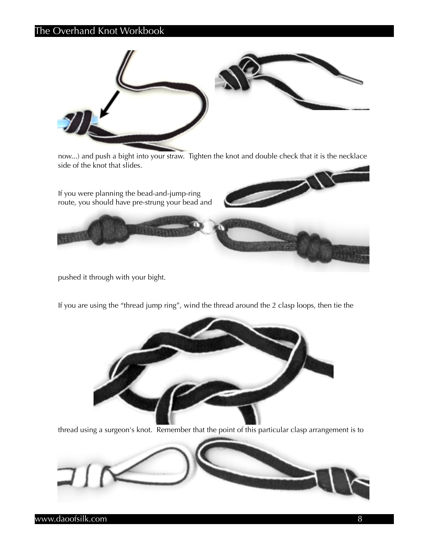## The Overhand Knot Workbook



now...) and push a bight into your straw. Tighten the knot and double check that it is the necklace side of the knot that slides.

If you were planning the bead-and-jump-ring route, you should have pre-strung your bead and

pushed it through with your bight.



If you are using the "thread jump ring", wind the thread around the 2 clasp loops, then tie the



thread using a surgeon's knot. Remember that the point of this particular clasp arrangement is to